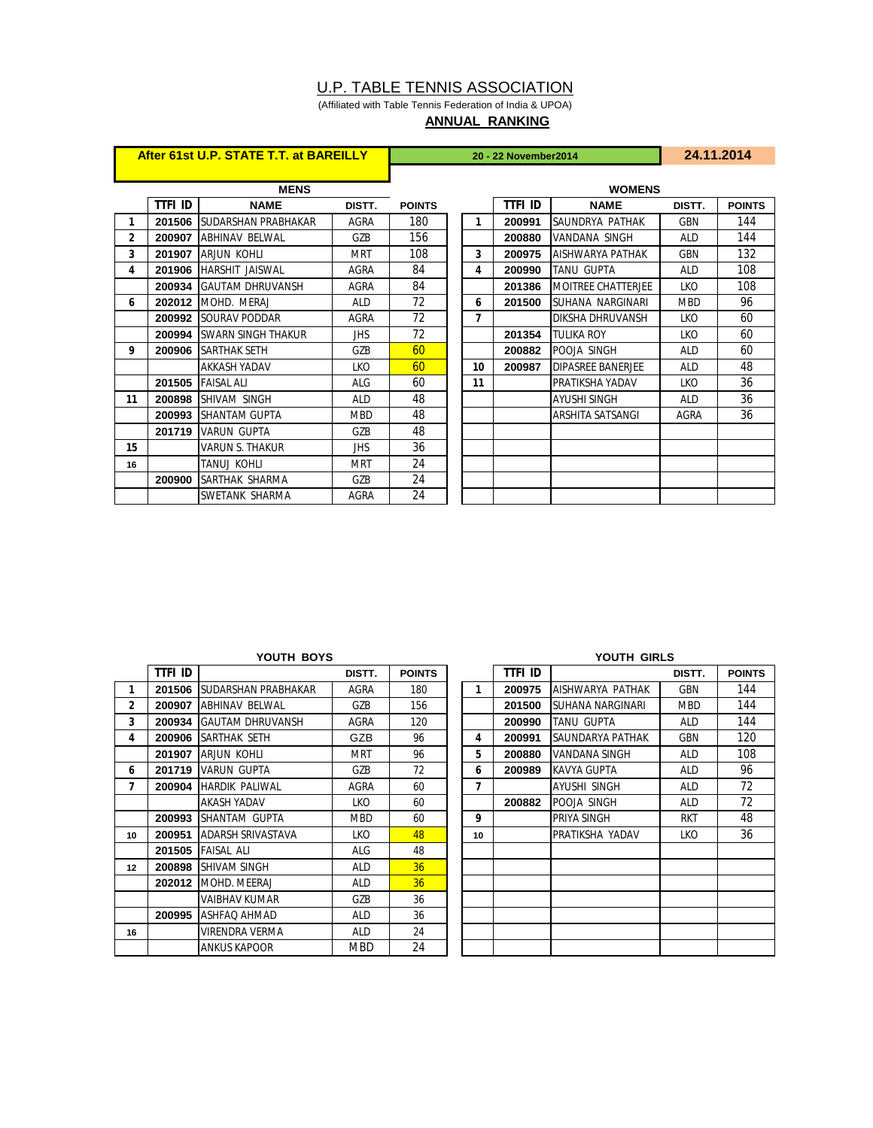# U.P. TABLE TENNIS ASSOCIATION

(Affiliated with Table Tennis Federation of India & UPOA) **ANNUAL RANKING**

|              | After 61st U.P. STATE T.T. at BAREILLY |                                   |            | 20 - 22 November 2014 |  |    |         |                            | 24.11.2014  |               |  |
|--------------|----------------------------------------|-----------------------------------|------------|-----------------------|--|----|---------|----------------------------|-------------|---------------|--|
|              |                                        |                                   |            |                       |  |    |         |                            |             |               |  |
|              |                                        | <b>MENS</b>                       |            | <b>WOMENS</b>         |  |    |         |                            |             |               |  |
|              | ttfi id                                | <b>NAME</b>                       | DISTT.     | <b>POINTS</b>         |  |    | ttfi id | <b>NAME</b>                | DISTT.      | <b>POINTS</b> |  |
| 1            |                                        | 201506 ISUDARSHAN PRABHAKAR       | AGRA       | 180                   |  | 1  | 200991  | SAUNDRYA PATHAK            | <b>GBN</b>  | 144           |  |
| $\mathbf{2}$ |                                        | 200907 ABHINAV BELWAL             | GZB        | 156                   |  |    | 200880  | VANDANA SINGH              | <b>ALD</b>  | 144           |  |
| 3            |                                        | 201907 ARJUN KOHLI                | <b>MRT</b> | 108                   |  | 3  | 200975  | AISHWARYA PATHAK           | GBN         | 132           |  |
| 4            |                                        | 201906 HARSHIT JAISWAL            | AGRA       | 84                    |  | 4  | 200990  | <b>TANU GUPTA</b>          | <b>ALD</b>  | 108           |  |
|              |                                        | 200934 GAUTAM DHRUVANSH           | AGRA       | 84                    |  |    | 201386  | <b>IMOITREE CHATTERJEE</b> | <b>LKO</b>  | 108           |  |
| 6            |                                        | <b>202012 IMOHD. MERAJ</b>        | <b>ALD</b> | 72                    |  | 6  | 201500  | SUHANA NARGINARI           | <b>MBD</b>  | 96            |  |
|              |                                        | 200992 SOURAV PODDAR              | AGRA       | 72                    |  | 7  |         | <b>DIKSHA DHRUVANSH</b>    | LKO         | 60            |  |
|              |                                        | <b>200994 ISWARN SINGH THAKUR</b> | JHS.       | 72                    |  |    | 201354  | <b>TULIKA ROY</b>          | LKO         | 60            |  |
| 9            | 200906                                 | <b>SARTHAK SETH</b>               | GZB        | 60                    |  |    | 200882  | POOJA SINGH                | <b>ALD</b>  | 60            |  |
|              |                                        | <b>AKKASH YADAV</b>               | <b>LKO</b> | 60                    |  | 10 | 200987  | <b>DIPASREE BANERJEE</b>   | <b>ALD</b>  | 48            |  |
|              |                                        | <b>201505 FAISAL ALI</b>          | ALG        | 60                    |  | 11 |         | PRATIKSHA YADAV            | <b>LKO</b>  | 36            |  |
| 11           | 200898                                 | ISHIVAM SINGH                     | ALD.       | 48                    |  |    |         | <b>AYUSHI SINGH</b>        | <b>ALD</b>  | 36            |  |
|              |                                        | 200993 SHANTAM GUPTA              | <b>MBD</b> | 48                    |  |    |         | ARSHITA SATSANGI           | <b>AGRA</b> | 36            |  |
|              |                                        | 201719 VARUN GUPTA                | GZB        | 48                    |  |    |         |                            |             |               |  |
| 15           |                                        | <b>VARUN S. THAKUR</b>            | <b>JHS</b> | 36                    |  |    |         |                            |             |               |  |
| 16           |                                        | TANUJ KOHLI                       | MRT        | 24                    |  |    |         |                            |             |               |  |
|              | 200900                                 | <b>ISARTHAK SHARMA</b>            | GZB        | 24                    |  |    |         |                            |             |               |  |
|              |                                        | SWETANK SHARMA                    | AGRA       | 24                    |  |    |         |                            |             |               |  |

|              | ttfi id |                                 | DISTT.     | <b>POINTS</b> |    | <b>TTFI ID</b> |                    | DISTT.     | <b>POIN</b> |
|--------------|---------|---------------------------------|------------|---------------|----|----------------|--------------------|------------|-------------|
| 1            |         | 201506 ISUDARSHAN PRABHAKAR     | AGRA       | 180           | 1  | 200975         | AISHWARYA PATHAK   | <b>GBN</b> | 144         |
| $\mathbf{2}$ | 200907  | <b>ABHINAV BELWAL</b>           | GZB        | 156           |    | 201500         | ISUHANA NARGINARI  | <b>MBD</b> | 144         |
| 3            |         | <b>200934 IGAUTAM DHRUVANSH</b> | AGRA       | 120           |    | 200990         | <b>TANU GUPTA</b>  | ALD        | 144         |
| 4            | 200906  | <b>ISARTHAK SETH</b>            | GZB        | 96            | 4  | 200991         | SAUNDARYA PATHAK   | <b>GBN</b> | 120         |
|              | 201907  | ARJUN KOHLI                     | <b>MRT</b> | 96            | 5  | 200880         | VANDANA SINGH      | ALD        | 108         |
| 6            | 201719  | <b>VARUN GUPTA</b>              | GZB        | 72            | 6  | 200989         | <b>KAVYA GUPTA</b> | <b>ALD</b> | 96          |
| 7            | 200904  | <b>HARDIK PALIWAL</b>           | AGRA       | 60            | 7  |                | AYUSHI SINGH       | ALD        | 72          |
|              |         | AKASH YADAV                     | <b>LKO</b> | 60            |    | 200882         | POOJA SINGH        | <b>ALD</b> | 72          |
|              | 200993  | ISHANTAM GUPTA                  | <b>MBD</b> | 60            | 9  |                | <b>PRIYA SINGH</b> | <b>RKT</b> | 48          |
| 10           | 200951  | <b>ADARSH SRIVASTAVA</b>        | <b>LKO</b> | 48            | 10 |                | PRATIKSHA YADAV    | LKO        | 36          |
|              | 201505  | <b>FAISAL ALI</b>               | <b>ALG</b> | 48            |    |                |                    |            |             |
| 12           | 200898  | <b>SHIVAM SINGH</b>             | <b>ALD</b> | 36            |    |                |                    |            |             |
|              |         | <b>202012 IMOHD. MEERAJ</b>     | ALD        | 36            |    |                |                    |            |             |
|              |         | VAIBHAV KUMAR                   | GZB        | 36            |    |                |                    |            |             |
|              | 200995  | <b>JASHFAQ AHMAD</b>            | <b>ALD</b> | 36            |    |                |                    |            |             |
| 16           |         | VIRENDRA VERMA                  | <b>ALD</b> | 24            |    |                |                    |            |             |
|              |         | <b>ANKUS KAPOOR</b>             | <b>MBD</b> | 24            |    |                |                    |            |             |

|         | YOUTH BOYS                 |            |               |  | YOUTH GIRLS |         |                         |            |               |  |  |
|---------|----------------------------|------------|---------------|--|-------------|---------|-------------------------|------------|---------------|--|--|
| ttfi id |                            | DISTT.     | <b>POINTS</b> |  |             | ttfi id |                         | DISTT.     | <b>POINTS</b> |  |  |
| 201506  | <b>SUDARSHAN PRABHAKAR</b> | AGRA       | 180           |  | 1           | 200975  | AISHWARYA PATHAK        | <b>GBN</b> | 144           |  |  |
| 200907  | <b>ABHINAV BELWAL</b>      | GZB        | 156           |  |             | 201500  | <b>SUHANA NARGINARI</b> | <b>MBD</b> | 144           |  |  |
| 200934  | <b>GAUTAM DHRUVANSH</b>    | AGRA       | 120           |  |             | 200990  | <b>TANU GUPTA</b>       | <b>ALD</b> | 144           |  |  |
| 200906  | SARTHAK SETH               | GZB        | 96            |  | 4           | 200991  | SAUNDARYA PATHAK        | GBN        | 120           |  |  |
| 201907  | <b>ARJUN KOHLI</b>         | <b>MRT</b> | 96            |  | 5           | 200880  | <b>VANDANA SINGH</b>    | <b>ALD</b> | 108           |  |  |
| 201719  | <b>VARUN GUPTA</b>         | GZB        | 72            |  | 6           | 200989  | <b>KAVYA GUPTA</b>      | <b>ALD</b> | 96            |  |  |
| 200904  | <b>HARDIK PALIWAL</b>      | AGRA       | 60            |  | 7           |         | <b>AYUSHI SINGH</b>     | <b>ALD</b> | 72            |  |  |
|         | <b>AKASH YADAV</b>         | LKO        | 60            |  |             | 200882  | POOJA SINGH             | ALD        | 72            |  |  |
| 200993  | SHANTAM GUPTA              | <b>MBD</b> | 60            |  | 9           |         | <b>PRIYA SINGH</b>      | <b>RKT</b> | 48            |  |  |
| 200951  | ADARSH SRIVASTAVA          | LKO        | 48            |  | 10          |         | PRATIKSHA YADAV         | LKO        | 36            |  |  |
| 201505  | <b>FAISAL ALI</b>          | ALG        | 48            |  |             |         |                         |            |               |  |  |
| 200898  | <b>SHIVAM SINGH</b>        | ALD        | 36            |  |             |         |                         |            |               |  |  |
| 202012  | MOHD. MEERAJ               | ALD        | 36            |  |             |         |                         |            |               |  |  |
|         | <b>VAIBHAV KUMAR</b>       | GZB        | 36            |  |             |         |                         |            |               |  |  |
| 200995  | <b>ASHFAQ AHMAD</b>        | ALD        | 36            |  |             |         |                         |            |               |  |  |
|         | <b>VIRENDRA VERMA</b>      | <b>ALD</b> | 24            |  |             |         |                         |            |               |  |  |
|         | <b>ANKUS KAPOOR</b>        | <b>MBD</b> | 24            |  |             |         |                         |            |               |  |  |